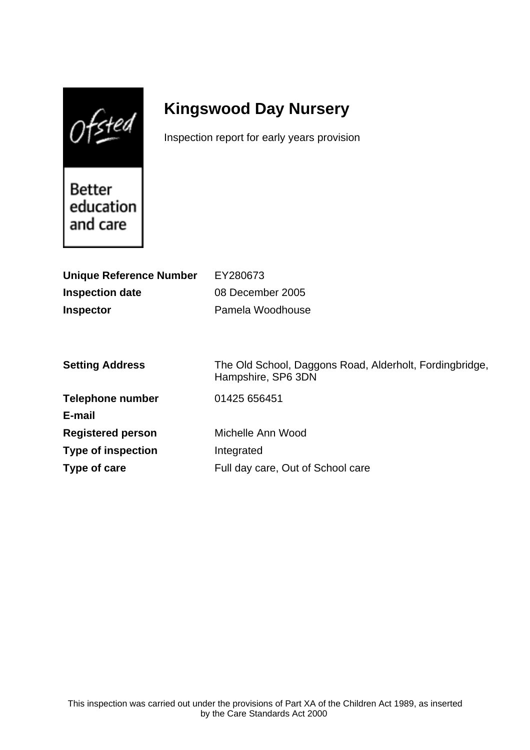$0$ fsted

# **Kingswood Day Nursery**

Inspection report for early years provision

Better education and care

| <b>Unique Reference Number</b> | EY280673                                                                      |
|--------------------------------|-------------------------------------------------------------------------------|
| <b>Inspection date</b>         | 08 December 2005                                                              |
| <b>Inspector</b>               | Pamela Woodhouse                                                              |
|                                |                                                                               |
|                                |                                                                               |
| <b>Setting Address</b>         | The Old School, Daggons Road, Alderholt, Fordingbridge,<br>Hampshire, SP6 3DN |
| <b>Telephone number</b>        | 01425 656451                                                                  |
| E-mail                         |                                                                               |
| <b>Registered person</b>       | Michelle Ann Wood                                                             |
| <b>Type of inspection</b>      | Integrated                                                                    |
| Type of care                   | Full day care, Out of School care                                             |
|                                |                                                                               |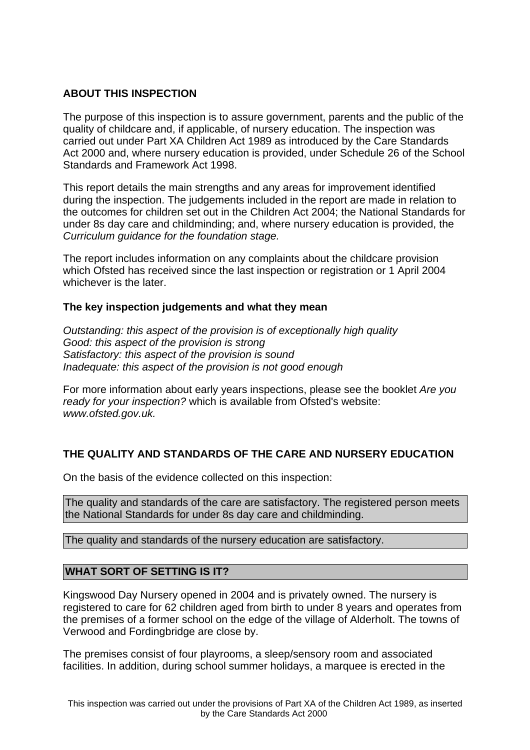## **ABOUT THIS INSPECTION**

The purpose of this inspection is to assure government, parents and the public of the quality of childcare and, if applicable, of nursery education. The inspection was carried out under Part XA Children Act 1989 as introduced by the Care Standards Act 2000 and, where nursery education is provided, under Schedule 26 of the School Standards and Framework Act 1998.

This report details the main strengths and any areas for improvement identified during the inspection. The judgements included in the report are made in relation to the outcomes for children set out in the Children Act 2004; the National Standards for under 8s day care and childminding; and, where nursery education is provided, the Curriculum guidance for the foundation stage.

The report includes information on any complaints about the childcare provision which Ofsted has received since the last inspection or registration or 1 April 2004 whichever is the later.

### **The key inspection judgements and what they mean**

Outstanding: this aspect of the provision is of exceptionally high quality Good: this aspect of the provision is strong Satisfactory: this aspect of the provision is sound Inadequate: this aspect of the provision is not good enough

For more information about early years inspections, please see the booklet Are you ready for your inspection? which is available from Ofsted's website: www.ofsted.gov.uk.

# **THE QUALITY AND STANDARDS OF THE CARE AND NURSERY EDUCATION**

On the basis of the evidence collected on this inspection:

The quality and standards of the care are satisfactory. The registered person meets the National Standards for under 8s day care and childminding.

The quality and standards of the nursery education are satisfactory.

### **WHAT SORT OF SETTING IS IT?**

Kingswood Day Nursery opened in 2004 and is privately owned. The nursery is registered to care for 62 children aged from birth to under 8 years and operates from the premises of a former school on the edge of the village of Alderholt. The towns of Verwood and Fordingbridge are close by.

The premises consist of four playrooms, a sleep/sensory room and associated facilities. In addition, during school summer holidays, a marquee is erected in the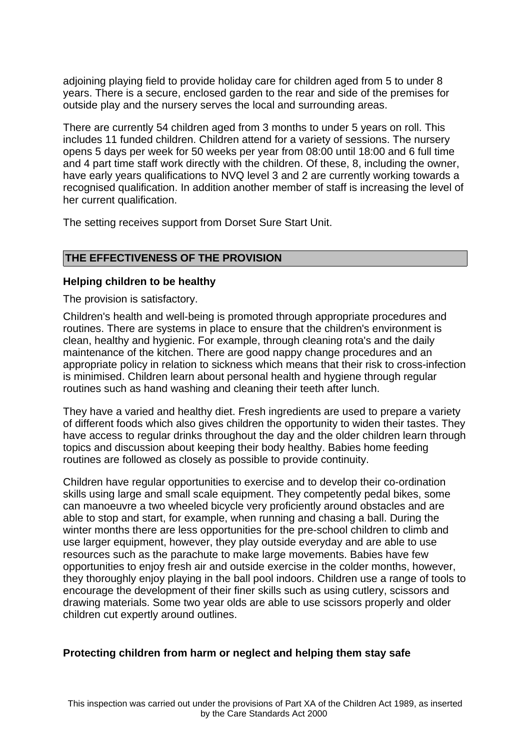adjoining playing field to provide holiday care for children aged from 5 to under 8 years. There is a secure, enclosed garden to the rear and side of the premises for outside play and the nursery serves the local and surrounding areas.

There are currently 54 children aged from 3 months to under 5 years on roll. This includes 11 funded children. Children attend for a variety of sessions. The nursery opens 5 days per week for 50 weeks per year from 08:00 until 18:00 and 6 full time and 4 part time staff work directly with the children. Of these, 8, including the owner, have early years qualifications to NVQ level 3 and 2 are currently working towards a recognised qualification. In addition another member of staff is increasing the level of her current qualification.

The setting receives support from Dorset Sure Start Unit.

#### **THE EFFECTIVENESS OF THE PROVISION**

#### **Helping children to be healthy**

The provision is satisfactory.

Children's health and well-being is promoted through appropriate procedures and routines. There are systems in place to ensure that the children's environment is clean, healthy and hygienic. For example, through cleaning rota's and the daily maintenance of the kitchen. There are good nappy change procedures and an appropriate policy in relation to sickness which means that their risk to cross-infection is minimised. Children learn about personal health and hygiene through regular routines such as hand washing and cleaning their teeth after lunch.

They have a varied and healthy diet. Fresh ingredients are used to prepare a variety of different foods which also gives children the opportunity to widen their tastes. They have access to regular drinks throughout the day and the older children learn through topics and discussion about keeping their body healthy. Babies home feeding routines are followed as closely as possible to provide continuity.

Children have regular opportunities to exercise and to develop their co-ordination skills using large and small scale equipment. They competently pedal bikes, some can manoeuvre a two wheeled bicycle very proficiently around obstacles and are able to stop and start, for example, when running and chasing a ball. During the winter months there are less opportunities for the pre-school children to climb and use larger equipment, however, they play outside everyday and are able to use resources such as the parachute to make large movements. Babies have few opportunities to enjoy fresh air and outside exercise in the colder months, however, they thoroughly enjoy playing in the ball pool indoors. Children use a range of tools to encourage the development of their finer skills such as using cutlery, scissors and drawing materials. Some two year olds are able to use scissors properly and older children cut expertly around outlines.

#### **Protecting children from harm or neglect and helping them stay safe**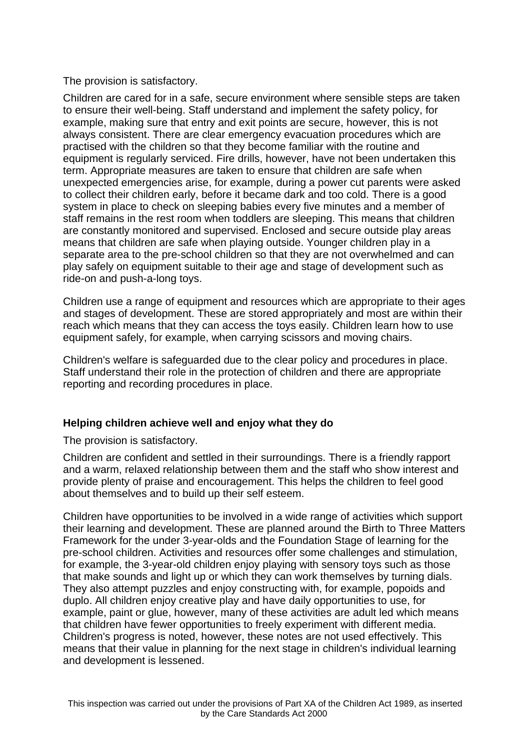The provision is satisfactory.

Children are cared for in a safe, secure environment where sensible steps are taken to ensure their well-being. Staff understand and implement the safety policy, for example, making sure that entry and exit points are secure, however, this is not always consistent. There are clear emergency evacuation procedures which are practised with the children so that they become familiar with the routine and equipment is regularly serviced. Fire drills, however, have not been undertaken this term. Appropriate measures are taken to ensure that children are safe when unexpected emergencies arise, for example, during a power cut parents were asked to collect their children early, before it became dark and too cold. There is a good system in place to check on sleeping babies every five minutes and a member of staff remains in the rest room when toddlers are sleeping. This means that children are constantly monitored and supervised. Enclosed and secure outside play areas means that children are safe when playing outside. Younger children play in a separate area to the pre-school children so that they are not overwhelmed and can play safely on equipment suitable to their age and stage of development such as ride-on and push-a-long toys.

Children use a range of equipment and resources which are appropriate to their ages and stages of development. These are stored appropriately and most are within their reach which means that they can access the toys easily. Children learn how to use equipment safely, for example, when carrying scissors and moving chairs.

Children's welfare is safeguarded due to the clear policy and procedures in place. Staff understand their role in the protection of children and there are appropriate reporting and recording procedures in place.

### **Helping children achieve well and enjoy what they do**

The provision is satisfactory.

Children are confident and settled in their surroundings. There is a friendly rapport and a warm, relaxed relationship between them and the staff who show interest and provide plenty of praise and encouragement. This helps the children to feel good about themselves and to build up their self esteem.

Children have opportunities to be involved in a wide range of activities which support their learning and development. These are planned around the Birth to Three Matters Framework for the under 3-year-olds and the Foundation Stage of learning for the pre-school children. Activities and resources offer some challenges and stimulation, for example, the 3-year-old children enjoy playing with sensory toys such as those that make sounds and light up or which they can work themselves by turning dials. They also attempt puzzles and enjoy constructing with, for example, popoids and duplo. All children enjoy creative play and have daily opportunities to use, for example, paint or glue, however, many of these activities are adult led which means that children have fewer opportunities to freely experiment with different media. Children's progress is noted, however, these notes are not used effectively. This means that their value in planning for the next stage in children's individual learning and development is lessened.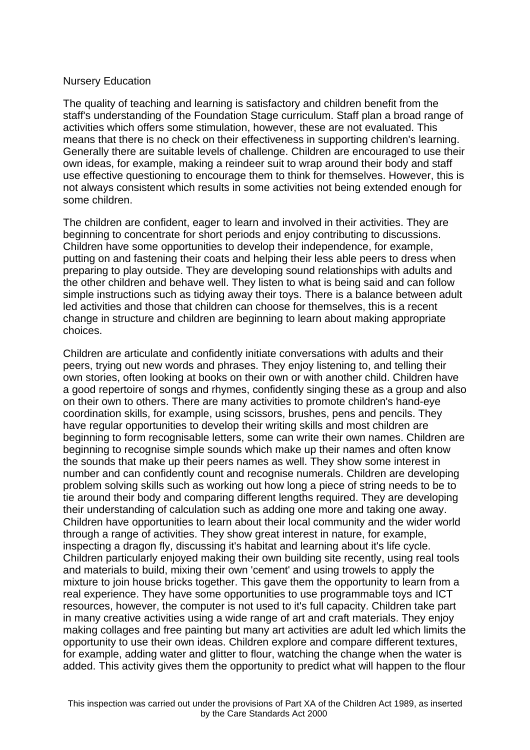### Nursery Education

The quality of teaching and learning is satisfactory and children benefit from the staff's understanding of the Foundation Stage curriculum. Staff plan a broad range of activities which offers some stimulation, however, these are not evaluated. This means that there is no check on their effectiveness in supporting children's learning. Generally there are suitable levels of challenge. Children are encouraged to use their own ideas, for example, making a reindeer suit to wrap around their body and staff use effective questioning to encourage them to think for themselves. However, this is not always consistent which results in some activities not being extended enough for some children.

The children are confident, eager to learn and involved in their activities. They are beginning to concentrate for short periods and enjoy contributing to discussions. Children have some opportunities to develop their independence, for example, putting on and fastening their coats and helping their less able peers to dress when preparing to play outside. They are developing sound relationships with adults and the other children and behave well. They listen to what is being said and can follow simple instructions such as tidying away their toys. There is a balance between adult led activities and those that children can choose for themselves, this is a recent change in structure and children are beginning to learn about making appropriate choices.

Children are articulate and confidently initiate conversations with adults and their peers, trying out new words and phrases. They enjoy listening to, and telling their own stories, often looking at books on their own or with another child. Children have a good repertoire of songs and rhymes, confidently singing these as a group and also on their own to others. There are many activities to promote children's hand-eye coordination skills, for example, using scissors, brushes, pens and pencils. They have regular opportunities to develop their writing skills and most children are beginning to form recognisable letters, some can write their own names. Children are beginning to recognise simple sounds which make up their names and often know the sounds that make up their peers names as well. They show some interest in number and can confidently count and recognise numerals. Children are developing problem solving skills such as working out how long a piece of string needs to be to tie around their body and comparing different lengths required. They are developing their understanding of calculation such as adding one more and taking one away. Children have opportunities to learn about their local community and the wider world through a range of activities. They show great interest in nature, for example, inspecting a dragon fly, discussing it's habitat and learning about it's life cycle. Children particularly enjoyed making their own building site recently, using real tools and materials to build, mixing their own 'cement' and using trowels to apply the mixture to join house bricks together. This gave them the opportunity to learn from a real experience. They have some opportunities to use programmable toys and ICT resources, however, the computer is not used to it's full capacity. Children take part in many creative activities using a wide range of art and craft materials. They enjoy making collages and free painting but many art activities are adult led which limits the opportunity to use their own ideas. Children explore and compare different textures, for example, adding water and glitter to flour, watching the change when the water is added. This activity gives them the opportunity to predict what will happen to the flour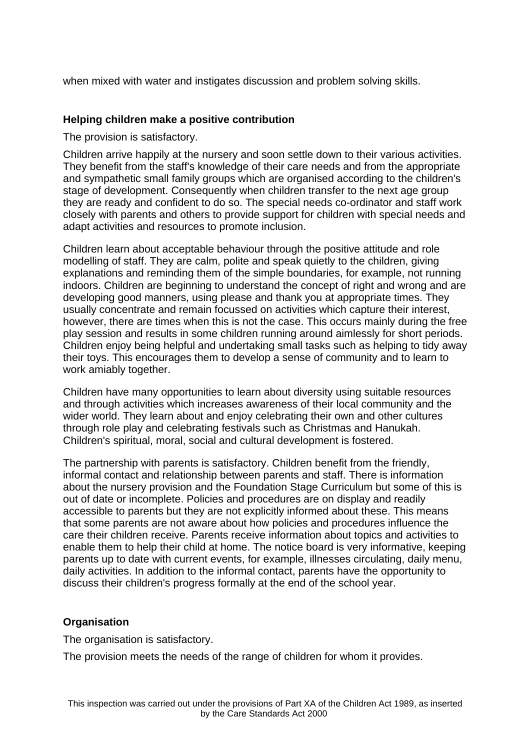when mixed with water and instigates discussion and problem solving skills.

#### **Helping children make a positive contribution**

The provision is satisfactory.

Children arrive happily at the nursery and soon settle down to their various activities. They benefit from the staff's knowledge of their care needs and from the appropriate and sympathetic small family groups which are organised according to the children's stage of development. Consequently when children transfer to the next age group they are ready and confident to do so. The special needs co-ordinator and staff work closely with parents and others to provide support for children with special needs and adapt activities and resources to promote inclusion.

Children learn about acceptable behaviour through the positive attitude and role modelling of staff. They are calm, polite and speak quietly to the children, giving explanations and reminding them of the simple boundaries, for example, not running indoors. Children are beginning to understand the concept of right and wrong and are developing good manners, using please and thank you at appropriate times. They usually concentrate and remain focussed on activities which capture their interest, however, there are times when this is not the case. This occurs mainly during the free play session and results in some children running around aimlessly for short periods. Children enjoy being helpful and undertaking small tasks such as helping to tidy away their toys. This encourages them to develop a sense of community and to learn to work amiably together.

Children have many opportunities to learn about diversity using suitable resources and through activities which increases awareness of their local community and the wider world. They learn about and enjoy celebrating their own and other cultures through role play and celebrating festivals such as Christmas and Hanukah. Children's spiritual, moral, social and cultural development is fostered.

The partnership with parents is satisfactory. Children benefit from the friendly, informal contact and relationship between parents and staff. There is information about the nursery provision and the Foundation Stage Curriculum but some of this is out of date or incomplete. Policies and procedures are on display and readily accessible to parents but they are not explicitly informed about these. This means that some parents are not aware about how policies and procedures influence the care their children receive. Parents receive information about topics and activities to enable them to help their child at home. The notice board is very informative, keeping parents up to date with current events, for example, illnesses circulating, daily menu, daily activities. In addition to the informal contact, parents have the opportunity to discuss their children's progress formally at the end of the school year.

### **Organisation**

The organisation is satisfactory.

The provision meets the needs of the range of children for whom it provides.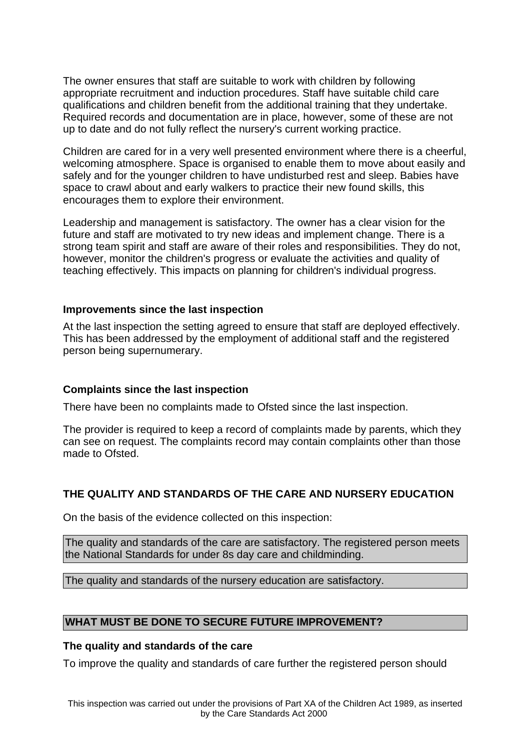The owner ensures that staff are suitable to work with children by following appropriate recruitment and induction procedures. Staff have suitable child care qualifications and children benefit from the additional training that they undertake. Required records and documentation are in place, however, some of these are not up to date and do not fully reflect the nursery's current working practice.

Children are cared for in a very well presented environment where there is a cheerful, welcoming atmosphere. Space is organised to enable them to move about easily and safely and for the younger children to have undisturbed rest and sleep. Babies have space to crawl about and early walkers to practice their new found skills, this encourages them to explore their environment.

Leadership and management is satisfactory. The owner has a clear vision for the future and staff are motivated to try new ideas and implement change. There is a strong team spirit and staff are aware of their roles and responsibilities. They do not, however, monitor the children's progress or evaluate the activities and quality of teaching effectively. This impacts on planning for children's individual progress.

#### **Improvements since the last inspection**

At the last inspection the setting agreed to ensure that staff are deployed effectively. This has been addressed by the employment of additional staff and the registered person being supernumerary.

### **Complaints since the last inspection**

There have been no complaints made to Ofsted since the last inspection.

The provider is required to keep a record of complaints made by parents, which they can see on request. The complaints record may contain complaints other than those made to Ofsted.

### **THE QUALITY AND STANDARDS OF THE CARE AND NURSERY EDUCATION**

On the basis of the evidence collected on this inspection:

The quality and standards of the care are satisfactory. The registered person meets the National Standards for under 8s day care and childminding.

The quality and standards of the nursery education are satisfactory.

## **WHAT MUST BE DONE TO SECURE FUTURE IMPROVEMENT?**

#### **The quality and standards of the care**

To improve the quality and standards of care further the registered person should